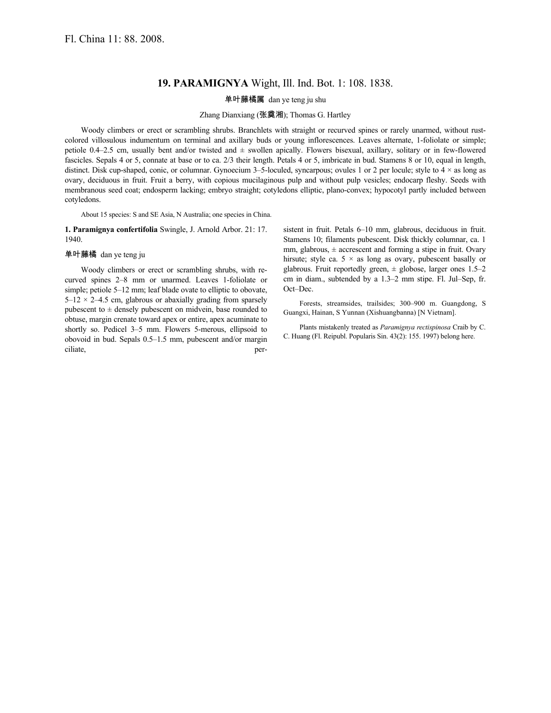## **19. PARAMIGNYA** Wight, Ill. Ind. Bot. 1: 108. 1838.

单叶藤橘属 dan ye teng ju shu

## Zhang Dianxiang (张奠湘); Thomas G. Hartley

Woody climbers or erect or scrambling shrubs. Branchlets with straight or recurved spines or rarely unarmed, without rustcolored villosulous indumentum on terminal and axillary buds or young inflorescences. Leaves alternate, 1-foliolate or simple; petiole 0.4–2.5 cm, usually bent and/or twisted and ± swollen apically. Flowers bisexual, axillary, solitary or in few-flowered fascicles. Sepals 4 or 5, connate at base or to ca. 2/3 their length. Petals 4 or 5, imbricate in bud. Stamens 8 or 10, equal in length, distinct. Disk cup-shaped, conic, or columnar. Gynoecium 3–5-loculed, syncarpous; ovules 1 or 2 per locule; style to 4 × as long as ovary, deciduous in fruit. Fruit a berry, with copious mucilaginous pulp and without pulp vesicles; endocarp fleshy. Seeds with membranous seed coat; endosperm lacking; embryo straight; cotyledons elliptic, plano-convex; hypocotyl partly included between cotyledons.

About 15 species: S and SE Asia, N Australia; one species in China.

**1. Paramignya confertifolia** Swingle, J. Arnold Arbor. 21: 17. 1940.

## 单叶藤橘 dan ye teng ju

Woody climbers or erect or scrambling shrubs, with recurved spines 2–8 mm or unarmed. Leaves 1-foliolate or simple; petiole 5–12 mm; leaf blade ovate to elliptic to obovate,  $5-12 \times 2-4.5$  cm, glabrous or abaxially grading from sparsely pubescent to  $\pm$  densely pubescent on midvein, base rounded to obtuse, margin crenate toward apex or entire, apex acuminate to shortly so. Pedicel 3–5 mm. Flowers 5-merous, ellipsoid to obovoid in bud. Sepals 0.5–1.5 mm, pubescent and/or margin ciliate, persistent in fruit. Petals 6–10 mm, glabrous, deciduous in fruit. Stamens 10; filaments pubescent. Disk thickly columnar, ca. 1 mm, glabrous,  $\pm$  accrescent and forming a stipe in fruit. Ovary hirsute; style ca.  $5 \times$  as long as ovary, pubescent basally or glabrous. Fruit reportedly green,  $\pm$  globose, larger ones 1.5–2 cm in diam., subtended by a 1.3–2 mm stipe. Fl. Jul–Sep, fr. Oct–Dec.

Forests, streamsides, trailsides; 300–900 m. Guangdong, S Guangxi, Hainan, S Yunnan (Xishuangbanna) [N Vietnam].

Plants mistakenly treated as *Paramignya rectispinosa* Craib by C. C. Huang (Fl. Reipubl. Popularis Sin. 43(2): 155. 1997) belong here.